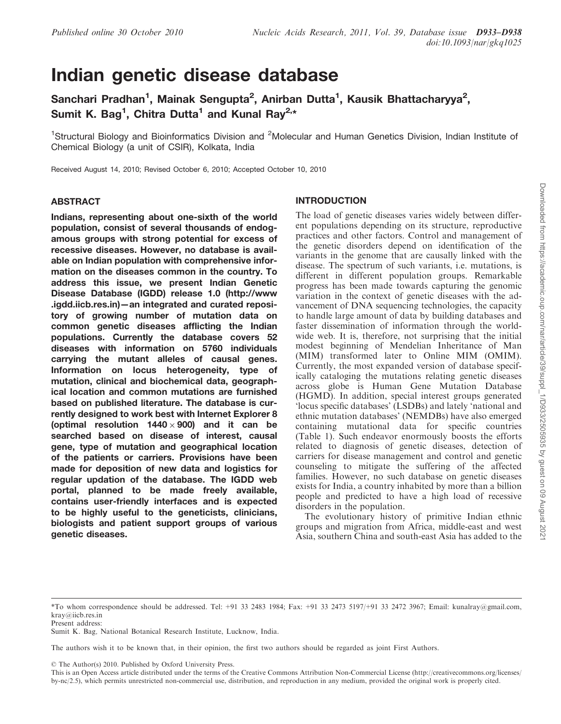# Indian genetic disease database

Sanchari Pradhan<sup>1</sup>, Mainak Sengupta<sup>2</sup>, Anirban Dutta<sup>1</sup>, Kausik Bhattacharyya<sup>2</sup>, Sumit K. Bag<sup>1</sup>, Chitra Dutta<sup>1</sup> and Kunal Ray<sup>2,\*</sup>

<sup>1</sup>Structural Biology and Bioinformatics Division and <sup>2</sup>Molecular and Human Genetics Division, Indian Institute of Chemical Biology (a unit of CSIR), Kolkata, India

Received August 14, 2010; Revised October 6, 2010; Accepted October 10, 2010

#### ABSTRACT

Indians, representing about one-sixth of the world population, consist of several thousands of endogamous groups with strong potential for excess of recessive diseases. However, no database is available on Indian population with comprehensive information on the diseases common in the country. To address this issue, we present Indian Genetic Disease Database (IGDD) release 1.0 (http://www .igdd.iicb.res.in)—an integrated and curated repository of growing number of mutation data on common genetic diseases afflicting the Indian populations. Currently the database covers 52 diseases with information on 5760 individuals carrying the mutant alleles of causal genes. Information on locus heterogeneity, type of mutation, clinical and biochemical data, geographical location and common mutations are furnished based on published literature. The database is currently designed to work best with Internet Explorer 8 (optimal resolution  $1440 \times 900$ ) and it can be searched based on disease of interest, causal gene, type of mutation and geographical location of the patients or carriers. Provisions have been made for deposition of new data and logistics for regular updation of the database. The IGDD web portal, planned to be made freely available, contains user-friendly interfaces and is expected to be highly useful to the geneticists, clinicians, biologists and patient support groups of various genetic diseases.

# INTRODUCTION

The load of genetic diseases varies widely between different populations depending on its structure, reproductive practices and other factors. Control and management of the genetic disorders depend on identification of the variants in the genome that are causally linked with the disease. The spectrum of such variants, i.e. mutations, is different in different population groups. Remarkable progress has been made towards capturing the genomic variation in the context of genetic diseases with the advancement of DNA sequencing technologies, the capacity to handle large amount of data by building databases and faster dissemination of information through the worldwide web. It is, therefore, not surprising that the initial modest beginning of Mendelian Inheritance of Man (MIM) transformed later to Online MIM (OMIM). Currently, the most expanded version of database specifically cataloging the mutations relating genetic diseases across globe is Human Gene Mutation Database (HGMD). In addition, special interest groups generated 'locus specific databases' (LSDBs) and lately 'national and ethnic mutation databases' (NEMDBs) have also emerged containing mutational data for specific countries (Table 1). Such endeavor enormously boosts the efforts related to diagnosis of genetic diseases, detection of carriers for disease management and control and genetic counseling to mitigate the suffering of the affected families. However, no such database on genetic diseases exists for India, a country inhabited by more than a billion people and predicted to have a high load of recessive disorders in the population.

The evolutionary history of primitive Indian ethnic groups and migration from Africa, middle-east and west Asia, southern China and south-east Asia has added to the

<sup>\*</sup>To whom correspondence should be addressed. Tel: +91 33 2483 1984; Fax: +91 33 2473 5197/+91 33 2472 3967; Email: kunalray@gmail.com, kray@iicb.res.in

Present address:

Sumit K. Bag*,* National Botanical Research Institute, Lucknow, India.

The authors wish it to be known that, in their opinion, the first two authors should be regarded as joint First Authors.

 $©$  The Author(s) 2010. Published by Oxford University Press.

This is an Open Access article distributed under the terms of the Creative Commons Attribution Non-Commercial License (http://creativecommons.org/licenses/ by-nc/2.5), which permits unrestricted non-commercial use, distribution, and reproduction in any medium, provided the original work is properly cited.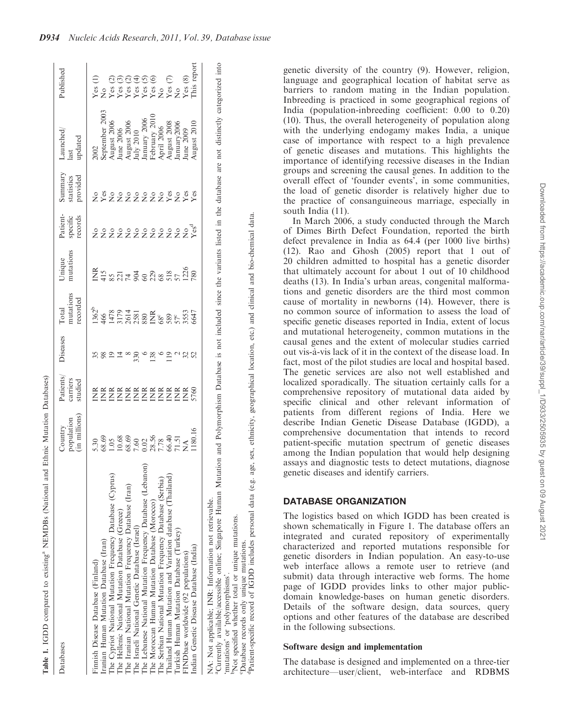| Table 1. IGDD compared to existing <sup>a</sup> NEMDBs (National and 1 |                                                                    |                                                                                           |                               |                                       |                                                                     |                                 |                                   |                                                                                                                                                                                                                                                                                                                                                                                                                |                                                                               |
|------------------------------------------------------------------------|--------------------------------------------------------------------|-------------------------------------------------------------------------------------------|-------------------------------|---------------------------------------|---------------------------------------------------------------------|---------------------------------|-----------------------------------|----------------------------------------------------------------------------------------------------------------------------------------------------------------------------------------------------------------------------------------------------------------------------------------------------------------------------------------------------------------------------------------------------------------|-------------------------------------------------------------------------------|
| Databases                                                              |                                                                    | $\begin{array}{c} \mathrm{Patients} \\ \mathrm{carriers} \\ \mathrm{studied} \end{array}$ | diseases                      | nutations<br>recorded<br><b>Total</b> | nutations<br>Jnique                                                 | Patient-<br>specific<br>records | Summary<br>statistics<br>provided | aunched<br>last<br>updated                                                                                                                                                                                                                                                                                                                                                                                     | Published                                                                     |
| Finnish Disease Database (Finland)                                     |                                                                    |                                                                                           |                               |                                       |                                                                     |                                 |                                   |                                                                                                                                                                                                                                                                                                                                                                                                                |                                                                               |
| Iranian Human Mutation Database (Iran)                                 | 5.30<br>68.68.880<br>5.38.58.578.578.774<br>5.180.100.28.56.475.11 | EEEEEEEEEEEE                                                                              | 5821                          |                                       | E 3<br>E 3 3 3 4 5 6 8 8 8 7 8 7 8 9<br>E 3 8 8 7 8 8 8 9 8 7 8 9 8 |                                 | 282222222828                      | $\begin{array}{l} 2002 \\ \text{September: } 2003 \\ \text{September: } 2005 \\ \text{June: } 2006 \\ \text{July: } 2010 \\ \text{July: } 2010 \\ \text{February: } 2006 \\ \text{February: } 2000 \\ \text{Apiri: } 2010 \\ \text{Apiri: } 2000 \\ \text{August: } 2008 \\ \text{August: } 2008 \\ \text{January: } 2000 \\ \text{January: } 2000 \\ \text{June: } 2009 \\ \text{June: } 2009 \\ \end{array}$ | いい (1)<br>Yes 2000年のの<br>Yes 348.8000 アドリング Xes 36<br>Yes 2000 アドリング Xes 2000 |
| The Cypriot National Mutation Frequency Database (Cyprus)              |                                                                    |                                                                                           |                               |                                       |                                                                     |                                 |                                   |                                                                                                                                                                                                                                                                                                                                                                                                                |                                                                               |
| The Hellenic National Mutation Database (Greece)                       |                                                                    |                                                                                           |                               |                                       |                                                                     |                                 |                                   |                                                                                                                                                                                                                                                                                                                                                                                                                |                                                                               |
| The Iranian National Mutation Frequency Database (Iran)                |                                                                    |                                                                                           |                               |                                       |                                                                     |                                 |                                   |                                                                                                                                                                                                                                                                                                                                                                                                                |                                                                               |
| The Israeli National Genetic Database (Israel)                         |                                                                    |                                                                                           | $8,80$ $8,80$ $10,80$ $10,80$ |                                       |                                                                     |                                 |                                   |                                                                                                                                                                                                                                                                                                                                                                                                                |                                                                               |
| The Lebanese National Mutation Frequency Database (Lebanon)            |                                                                    |                                                                                           |                               |                                       |                                                                     |                                 |                                   |                                                                                                                                                                                                                                                                                                                                                                                                                |                                                                               |
| The Moroccan Human Mutation Database (Morocco)                         |                                                                    |                                                                                           |                               |                                       |                                                                     |                                 |                                   |                                                                                                                                                                                                                                                                                                                                                                                                                |                                                                               |
| The Serbian National Mutation Frequency Database (Serbia)              |                                                                    |                                                                                           |                               |                                       |                                                                     |                                 |                                   |                                                                                                                                                                                                                                                                                                                                                                                                                |                                                                               |
| Thailand Human Mutation and Variation database (Thailand)              |                                                                    |                                                                                           |                               |                                       |                                                                     |                                 |                                   |                                                                                                                                                                                                                                                                                                                                                                                                                |                                                                               |
| Turkish Human Mutation Database (Turkey)                               |                                                                    |                                                                                           |                               |                                       |                                                                     |                                 |                                   |                                                                                                                                                                                                                                                                                                                                                                                                                |                                                                               |
| FINDbase worldwide (92 populations)                                    |                                                                    |                                                                                           |                               |                                       |                                                                     |                                 |                                   |                                                                                                                                                                                                                                                                                                                                                                                                                |                                                                               |
| Indian Genetic Disease Database (India)                                |                                                                    |                                                                                           |                               |                                       |                                                                     |                                 |                                   | ugust 2010                                                                                                                                                                                                                                                                                                                                                                                                     |                                                                               |
| NA: Not applicable; INR: Information not retrievable.                  |                                                                    |                                                                                           |                               |                                       |                                                                     |                                 |                                   |                                                                                                                                                                                                                                                                                                                                                                                                                |                                                                               |

aCurrently available/accessible online; Singapore Human Mutation and Polymorphism Database is not included since the variants listed in the database are not distinctly categorized into Currently available/accessible online; Singapore Human Mutation and Polymorphism Database

'nutations' or 'polymorphisms'. 'mutations' or 'polymorphisms'.

<sup>b</sup>Not specified whether total or unique mutations. bNot specified whether total or unique mutations.

dPatient-specific record of IGDD includes personal data (e.g. age, sex, ethnicity, geographical location, etc.) and clinical and bio-chemical data. of IGDD includes personal data (e.g. age, sex, ethnicity, geographical location, etc.) and clinical and bio-chemical data Patabase records only unique mutations.<br><sup>4</sup>Patient-specific record of IGDD includes cDatabase records only unique mutations.

genetic diversity of the country (9). However, religion, language and geographical location of habitat serve as barriers to random mating in the Indian population. Inbreeding is practiced in some geographical regions of India (population-inbreeding coefficient: 0.00 to 0.20) (10). Thus, the overall heterogeneity of population along with the underlying endogamy makes India, a unique case of importance with respect to a high prevalence of genetic diseases and mutations. This highlights the importance of identifying recessive diseases in the Indian groups and screening the causal genes. In addition to the overall effect of 'founder events', in some communities, the load of genetic disorder is relatively higher due to the practice of consanguineous marriage, especially in south India (11).

In March 2006, a study conducted through the March of Dimes Birth Defect Foundation, reported the birth defect prevalence in India as 64.4 (per 1000 live births) (12). Rao and Ghosh (2005) report that 1 out of 20 children admitted to hospital has a genetic disorder that ultimately account for about 1 out of 10 childhood deaths (13). In India's urban areas, congenital malformations and genetic disorders are the third most common cause of mortality in newborns (14). However, there is no common source of information to assess the load of specific genetic diseases reported in India, extent of locus and mutational heterogeneity, common mutations in the causal genes and the extent of molecular studies carried out vis-a`-vis lack of it in the context of the disease load. In fact, most of the pilot studies are local and hospital based. The genetic services are also not well established and localized sporadically. The situation certainly calls for a comprehensive repository of mutational data aided by specific clinical and other relevant information of patients from different regions of India. Here we describe Indian Genetic Disease Database (IGDD), a comprehensive documentation that intends to record patient-specific mutation spectrum of genetic diseases among the Indian population that would help designing assays and diagnostic tests to detect mutations, diagnose genetic diseases and identify carriers.

## DATABASE ORGANIZATION

The logistics based on which IGDD has been created is shown schematically in Figure 1. The database offers an integrated and curated repository of experimentally characterized and reported mutations responsible for genetic disorders in Indian population. An easy-to-use web interface allows a remote user to retrieve (and submit) data through interactive web forms. The home page of IGDD provides links to other major publicdomain knowledge-bases on human genetic disorders. Details of the software design, data sources, query options and other features of the database are described in the following subsections.

## Software design and implementation

The database is designed and implemented on a three-tier architecture—user/client, web-interface and RDBMS

 $int<sub>O</sub>$ 

not included since the variants listed in the database are not distinctly categorized

Ω.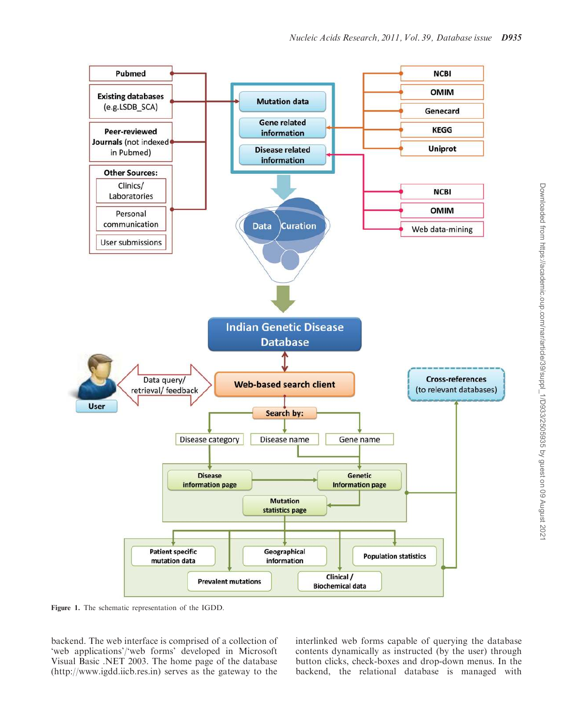

Figure 1. The schematic representation of the IGDD.

backend. The web interface is comprised of a collection of 'web applications'/'web forms' developed in Microsoft Visual Basic .NET 2003. The home page of the database (http://www.igdd.iicb.res.in) serves as the gateway to the

interlinked web forms capable of querying the database contents dynamically as instructed (by the user) through button clicks, check-boxes and drop-down menus. In the backend, the relational database is managed with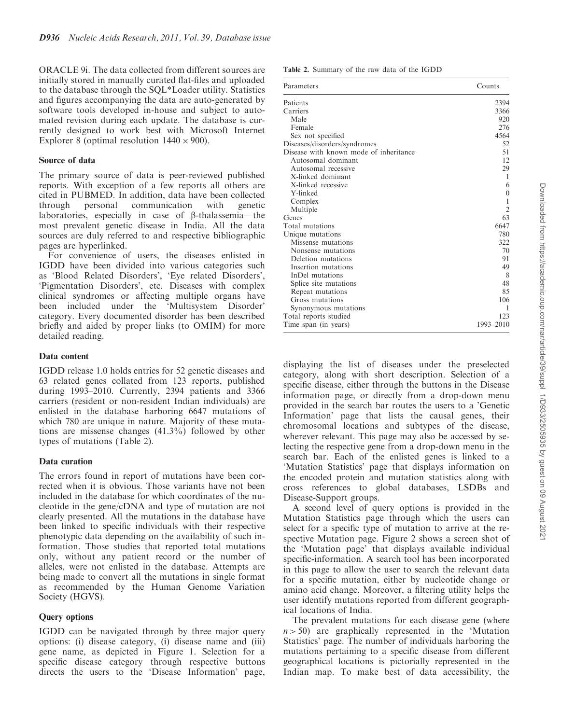ORACLE 9i. The data collected from different sources are initially stored in manually curated flat-files and uploaded to the database through the SQL\*Loader utility. Statistics and figures accompanying the data are auto-generated by software tools developed in-house and subject to automated revision during each update. The database is currently designed to work best with Microsoft Internet Explorer 8 (optimal resolution  $1440 \times 900$ ).

#### Source of data

The primary source of data is peer-reviewed published reports. With exception of a few reports all others are cited in PUBMED. In addition, data have been collected through personal communication with genetic laboratories, especially in case of  $\beta$ -thalassemia—the most prevalent genetic disease in India. All the data sources are duly referred to and respective bibliographic pages are hyperlinked.

For convenience of users, the diseases enlisted in IGDD have been divided into various categories such as 'Blood Related Disorders', 'Eye related Disorders', 'Pigmentation Disorders', etc. Diseases with complex clinical syndromes or affecting multiple organs have been included under the 'Multisystem Disorder' category. Every documented disorder has been described briefly and aided by proper links (to OMIM) for more detailed reading.

#### Data content

IGDD release 1.0 holds entries for 52 genetic diseases and 63 related genes collated from 123 reports, published during 1993–2010. Currently, 2394 patients and 3366 carriers (resident or non-resident Indian individuals) are enlisted in the database harboring 6647 mutations of which 780 are unique in nature. Majority of these mutations are missense changes (41.3%) followed by other types of mutations (Table 2).

## Data curation

The errors found in report of mutations have been corrected when it is obvious. Those variants have not been included in the database for which coordinates of the nucleotide in the gene/cDNA and type of mutation are not clearly presented. All the mutations in the database have been linked to specific individuals with their respective phenotypic data depending on the availability of such information. Those studies that reported total mutations only, without any patient record or the number of alleles, were not enlisted in the database. Attempts are being made to convert all the mutations in single format as recommended by the Human Genome Variation Society (HGVS).

## Query options

IGDD can be navigated through by three major query options: (i) disease category, (i) disease name and (iii) gene name, as depicted in Figure 1. Selection for a specific disease category through respective buttons directs the users to the 'Disease Information' page,

Table 2. Summary of the raw data of the IGDD

| Parameters                             | Counts           |
|----------------------------------------|------------------|
| Patients                               | 2394             |
| Carriers                               | 3366             |
| Male                                   | 920              |
| Female                                 | 276              |
| Sex not specified                      | 4564             |
| Diseases/disorders/syndromes           | 52               |
| Disease with known mode of inheritance | 51               |
| Autosomal dominant                     | 12               |
| Autosomal recessive                    | 29               |
| X-linked dominant                      | 1                |
| X-linked recessive                     | 6                |
| Y-linked                               | $\boldsymbol{0}$ |
| Complex                                |                  |
| Multiple                               | $\overline{2}$   |
| Genes                                  | 63               |
| Total mutations                        | 6647             |
| Unique mutations                       | 780              |
| Missense mutations                     | 322              |
| Nonsense mutations                     | 70               |
| Deletion mutations                     | 91               |
| Insertion mutations                    | 49               |
| InDel mutations                        | 8                |
| Splice site mutations                  | 48               |
| Repeat mutations                       | 85               |
| Gross mutations                        | 106              |
| Synonymous mutations                   | 1                |
| Total reports studied                  | 123              |
| Time span (in years)                   | 1993-2010        |

displaying the list of diseases under the preselected category, along with short description. Selection of a specific disease, either through the buttons in the Disease information page, or directly from a drop-down menu provided in the search bar routes the users to a 'Genetic Information' page that lists the causal genes, their chromosomal locations and subtypes of the disease, wherever relevant. This page may also be accessed by selecting the respective gene from a drop-down menu in the search bar. Each of the enlisted genes is linked to a 'Mutation Statistics' page that displays information on the encoded protein and mutation statistics along with cross references to global databases, LSDBs and Disease-Support groups.

A second level of query options is provided in the Mutation Statistics page through which the users can select for a specific type of mutation to arrive at the respective Mutation page. Figure 2 shows a screen shot of the 'Mutation page' that displays available individual specific-information. A search tool has been incorporated in this page to allow the user to search the relevant data for a specific mutation, either by nucleotide change or amino acid change. Moreover, a filtering utility helps the user identify mutations reported from different geographical locations of India.

The prevalent mutations for each disease gene (where  $n > 50$ ) are graphically represented in the 'Mutation Statistics' page. The number of individuals harboring the mutations pertaining to a specific disease from different geographical locations is pictorially represented in the Indian map. To make best of data accessibility, the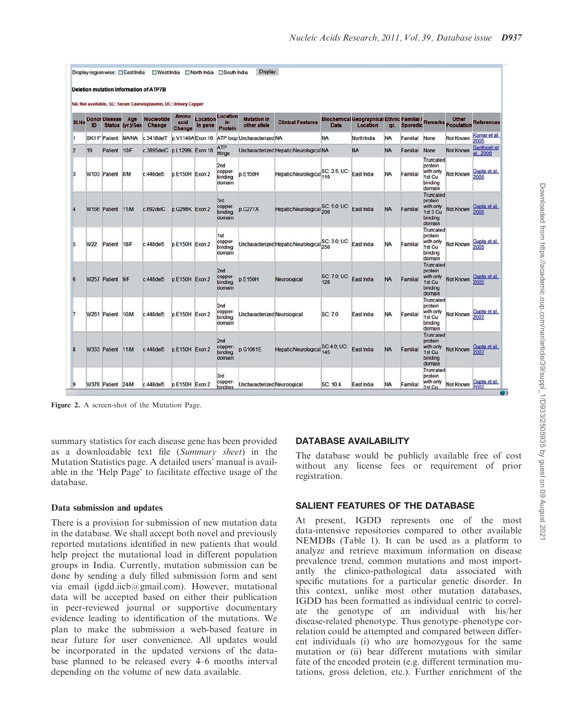|                |     |                      |                                | NA: Not available, SC: Serum Caeruloplasmin, UC: Urinary Copper |                                |                     |                                     |                                    |                                                   |                     |                                                               |           |                 |                                                                    |                             |                          |
|----------------|-----|----------------------|--------------------------------|-----------------------------------------------------------------|--------------------------------|---------------------|-------------------------------------|------------------------------------|---------------------------------------------------|---------------------|---------------------------------------------------------------|-----------|-----------------|--------------------------------------------------------------------|-----------------------------|--------------------------|
| <b>SI.No</b>   | ID  | <b>Donor Disease</b> | Age<br><b>Status (yr.)/Sex</b> | <b>Nucleotide</b><br>Change                                     | <b>Amino</b><br>acid<br>Change | Location<br>in gene | Location<br>in.<br>Protein          | <b>Mutation in</b><br>other allele | <b>Clinical Features</b>                          | <b>Data</b>         | <b>Biochemical Geographical Ethnic Familial /</b><br>Location | gr.       | <b>Sporadic</b> |                                                                    | Other<br>Remarks Population | <b>References</b>        |
|                |     | SK11* Patient        | <b>NA/NA</b>                   | c.3418delT                                                      | p.V1140A Exon 16               |                     |                                     | ATP loop Uncharacterized NA        |                                                   | <b>NA</b>           | North India                                                   | <b>NA</b> | Familial        | None                                                               | Not Known                   | Kumar et al.<br>2005     |
| $\overline{2}$ | 19  | Patient              | 10/F                           | c.3895delC p.L1299L Exon 18                                     |                                |                     | ATP<br>Hinge                        |                                    | Uncharacterized Hepatic/Neurological NA           |                     | <b>NA</b>                                                     | <b>NA</b> | Familial        | None                                                               | Not Known                   | Santhosh et<br>al., 2006 |
| з              |     | W103 Patient 8/M     |                                | c.448del5                                                       | p.E150H Exon 2                 |                     | 2nd<br>copper-<br>binding<br>domain | p.E150H                            | Hepatic/Neurological SC: 2.5; UC:                 |                     | East India                                                    | <b>NA</b> | Familial        | Truncated<br>protein<br>with only<br>1st Cu<br>binding<br>domain   | Not Known                   | Gupta et al.             |
|                |     | W166 Patient 11/M    |                                | c.892delC                                                       | p.0298K Exon 2                 |                     | 3rd<br>copper-<br>binding<br>domain | $p$ <sub>C271X</sub>               | Hepatic/Neurological                              | SC: 5.0, UC:<br>200 | East India                                                    | <b>NA</b> | Familial        | Truncated<br>protein<br>with only<br>1st 3 Cu<br>binding<br>domain | Not Known                   | Gupta et al.<br>2005     |
| 5              | W22 | Patient 18/F         |                                | c.448del5                                                       | p.E150H Exon 2                 |                     | 1st<br>copper-<br>binding<br>domain |                                    | Uncharacterized Hepatic/Neurological SC: 3.0, UC: |                     | East India                                                    | <b>NA</b> | Familial        | Truncated<br>protein<br>with only<br>1st Cu<br>binding<br>domain   | Not Known                   | Gupta et al.<br>2005     |
| 6              |     | W257 Patient 9/F     |                                | c.448del5                                                       | p.E150H Exon 2                 |                     | 2nd<br>copper-<br>binding<br>domain | p.E150H                            | Neurological                                      | SC: 7.0, UC:<br>128 | East India                                                    | <b>NA</b> | Familial        | Truncated<br>protein<br>with only<br>1st Cu<br>binding<br>domain   | Not Known                   | Gupta et al.<br>2005     |
|                |     | W261 Patient         | 10/M                           | c.448del5                                                       | p.E150H Exon 2                 |                     | 2nd<br>copper-<br>binding<br>domain | Uncharacterized Neurological       |                                                   | SC: 7.0             | East India                                                    | <b>NA</b> | Familial        | Truncated<br>protein<br>with only<br>1st Cu<br>binding<br>domain   | Not Known                   | Gupta et al.<br>2007     |
| 8              |     | W333 Patient 11/M    |                                | c.448del5                                                       | p.E150H Exon 2                 |                     | 2nd<br>copper-<br>binding<br>domain | p.G1061E                           | <b>Hepatic/Neurological</b>                       | SC:4.0, UC:<br>145  | East India                                                    | <b>NA</b> | Familial        | Truncated<br>protein<br>with only<br>1st Cu<br>binding<br>domain   | Not Known                   | Gupta et al.<br>2007     |
| 9              |     | W378 Patient 24/M    |                                | c.448del5                                                       | p.E150H Exon 2                 |                     | 3rd<br>copper-<br>binding           | Uncharacterized Neurological       |                                                   | SC: 10.4            | East India                                                    | <b>NA</b> | Familial        | Truncated<br>protein<br>with only<br>1st Cu                        | Not Known                   | Gupta et al.<br>2007     |

Figure 2. A screen-shot of the Mutation Page.

summary statistics for each disease gene has been provided as a downloadable text file (*Summary sheet*) in the Mutation Statistics page. A detailed users' manual is available in the 'Help Page' to facilitate effective usage of the database.

## Data submission and updates

There is a provision for submission of new mutation data in the database. We shall accept both novel and previously reported mutations identified in new patients that would help project the mutational load in different population groups in India. Currently, mutation submission can be done by sending a duly filled submission form and sent via email (igdd.iicb@gmail.com). However, mutational data will be accepted based on either their publication in peer-reviewed journal or supportive documentary evidence leading to identification of the mutations. We plan to make the submission a web-based feature in near future for user convenience. All updates would be incorporated in the updated versions of the database planned to be released every 4–6 months interval depending on the volume of new data available.

## DATABASE AVAILABILITY

The database would be publicly available free of cost without any license fees or requirement of prior registration.

## SALIENT FEATURES OF THE DATABASE

At present, IGDD represents one of the most data-intensive repositories compared to other available NEMDBs (Table 1). It can be used as a platform to analyze and retrieve maximum information on disease prevalence trend, common mutations and most importantly the clinico-pathological data associated with specific mutations for a particular genetic disorder. In this context, unlike most other mutation databases, IGDD has been formatted as individual centric to correlate the genotype of an individual with his/her disease-related phenotype. Thus genotype–phenotype correlation could be attempted and compared between different individuals (i) who are homozygous for the same mutation or (ii) bear different mutations with similar fate of the encoded protein (e.g. different termination mutations, gross deletion, etc.). Further enrichment of the